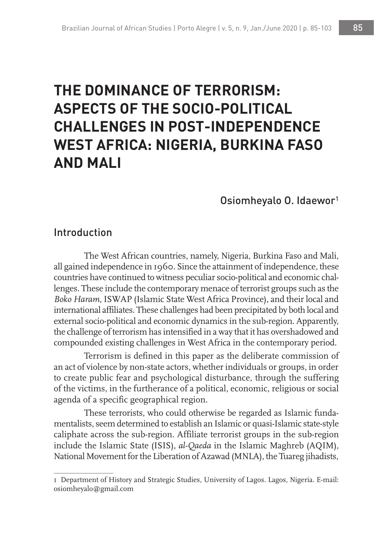# **THE DOMINANCE OF TERRORISM: ASPECTS OF THE SOCIO-POLITICAL CHALLENGES IN POST-INDEPENDENCE WEST AFRICA: NIGERIA, BURKINA FASO AND MALI**

#### Osiomheyalo O. Idaewor1

### Introduction

The West African countries, namely, Nigeria, Burkina Faso and Mali, all gained independence in 1960. Since the attainment of independence, these countries have continued to witness peculiar socio-political and economic challenges. These include the contemporary menace of terrorist groups such as the *Boko Haram*, ISWAP (Islamic State West Africa Province), and their local and international affiliates. These challenges had been precipitated by both local and external socio-political and economic dynamics in the sub-region. Apparently, the challenge of terrorism has intensified in a way that it has overshadowed and compounded existing challenges in West Africa in the contemporary period.

Terrorism is defined in this paper as the deliberate commission of an act of violence by non-state actors, whether individuals or groups, in order to create public fear and psychological disturbance, through the suffering of the victims, in the furtherance of a political, economic, religious or social agenda of a specific geographical region.

These terrorists, who could otherwise be regarded as Islamic fundamentalists, seem determined to establish an Islamic or quasi-Islamic state-style caliphate across the sub-region. Affiliate terrorist groups in the sub-region include the Islamic State (ISIS), *al-Qaeda* in the Islamic Maghreb (AQIM), National Movement for the Liberation of Azawad (MNLA), the Tuareg jihadists,

<sup>1</sup> Department of History and Strategic Studies, University of Lagos. Lagos, Nigeria. E-mail: osiomheyalo@gmail.com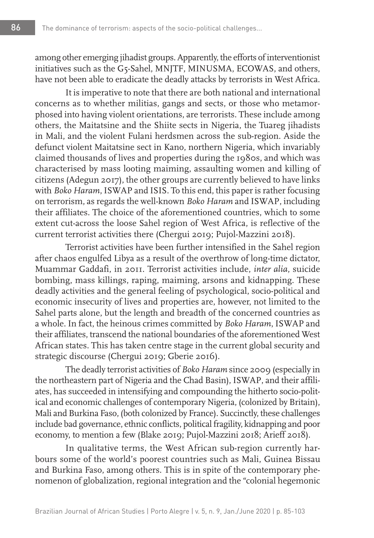among other emerging jihadist groups. Apparently, the efforts of interventionist initiatives such as the G5-Sahel, MNJTF, MINUSMA, ECOWAS, and others, have not been able to eradicate the deadly attacks by terrorists in West Africa.

It is imperative to note that there are both national and international concerns as to whether militias, gangs and sects, or those who metamorphosed into having violent orientations, are terrorists. These include among others, the Maitatsine and the Shiite sects in Nigeria, the Tuareg jihadists in Mali, and the violent Fulani herdsmen across the sub-region. Aside the defunct violent Maitatsine sect in Kano, northern Nigeria, which invariably claimed thousands of lives and properties during the 1980s, and which was characterised by mass looting maiming, assaulting women and killing of citizens (Adegun 2017), the other groups are currently believed to have links with *Boko Haram*, ISWAP and ISIS. To this end, this paper is rather focusing on terrorism, as regards the well-known *Boko Haram* and ISWAP, including their affiliates. The choice of the aforementioned countries, which to some extent cut-across the loose Sahel region of West Africa, is reflective of the current terrorist activities there (Chergui 2019; Pujol-Mazzini 2018).

Terrorist activities have been further intensified in the Sahel region after chaos engulfed Libya as a result of the overthrow of long-time dictator, Muammar Gaddafi, in 2011. Terrorist activities include, *inter alia*, suicide bombing, mass killings, raping, maiming, arsons and kidnapping. These deadly activities and the general feeling of psychological, socio-political and economic insecurity of lives and properties are, however, not limited to the Sahel parts alone, but the length and breadth of the concerned countries as a whole. In fact, the heinous crimes committed by *Boko Haram*, ISWAP and their affiliates, transcend the national boundaries of the aforementioned West African states. This has taken centre stage in the current global security and strategic discourse (Chergui 2019; Gberie 2016).

The deadly terrorist activities of *Boko Haram* since 2009 (especially in the northeastern part of Nigeria and the Chad Basin), ISWAP, and their affiliates, has succeeded in intensifying and compounding the hitherto socio-political and economic challenges of contemporary Nigeria, (colonized by Britain), Mali and Burkina Faso, (both colonized by France). Succinctly, these challenges include bad governance, ethnic conflicts, political fragility, kidnapping and poor economy, to mention a few (Blake 2019; Pujol-Mazzini 2018; Arieff 2018).

In qualitative terms, the West African sub-region currently harbours some of the world's poorest countries such as Mali, Guinea Bissau and Burkina Faso, among others. This is in spite of the contemporary phenomenon of globalization, regional integration and the "colonial hegemonic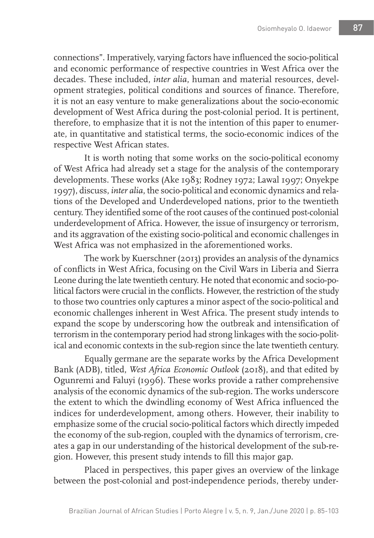connections". Imperatively, varying factors have influenced the socio-political and economic performance of respective countries in West Africa over the decades. These included, *inter alia*, human and material resources, development strategies, political conditions and sources of finance. Therefore, it is not an easy venture to make generalizations about the socio-economic development of West Africa during the post-colonial period. It is pertinent, therefore, to emphasize that it is not the intention of this paper to enumerate, in quantitative and statistical terms, the socio-economic indices of the respective West African states.

It is worth noting that some works on the socio-political economy of West Africa had already set a stage for the analysis of the contemporary developments. These works (Ake 1983; Rodney 1972; Lawal 1997; Onyekpe 1997), discuss, *inter alia*, the socio-political and economic dynamics and relations of the Developed and Underdeveloped nations, prior to the twentieth century. They identified some of the root causes of the continued post-colonial underdevelopment of Africa. However, the issue of insurgency or terrorism, and its aggravation of the existing socio-political and economic challenges in West Africa was not emphasized in the aforementioned works.

The work by Kuerschner (2013) provides an analysis of the dynamics of conflicts in West Africa, focusing on the Civil Wars in Liberia and Sierra Leone during the late twentieth century. He noted that economic and socio-political factors were crucial in the conflicts. However, the restriction of the study to those two countries only captures a minor aspect of the socio-political and economic challenges inherent in West Africa. The present study intends to expand the scope by underscoring how the outbreak and intensification of terrorism in the contemporary period had strong linkages with the socio-political and economic contexts in the sub-region since the late twentieth century.

Equally germane are the separate works by the Africa Development Bank (ADB), titled, *West Africa Economic Outlook* (2018), and that edited by Ogunremi and Faluyi (1996). These works provide a rather comprehensive analysis of the economic dynamics of the sub-region. The works underscore the extent to which the dwindling economy of West Africa influenced the indices for underdevelopment, among others. However, their inability to emphasize some of the crucial socio-political factors which directly impeded the economy of the sub-region, coupled with the dynamics of terrorism, creates a gap in our understanding of the historical development of the sub-region. However, this present study intends to fill this major gap.

Placed in perspectives, this paper gives an overview of the linkage between the post-colonial and post-independence periods, thereby under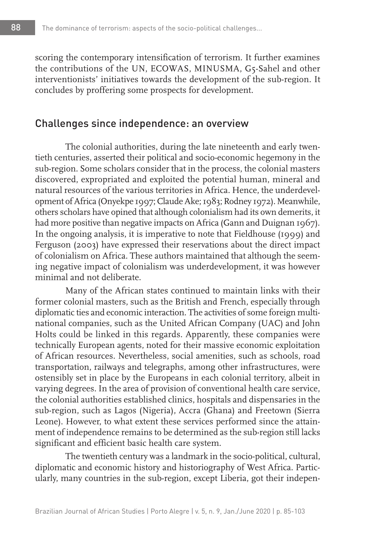scoring the contemporary intensification of terrorism. It further examines the contributions of the UN, ECOWAS, MINUSMA, G5-Sahel and other interventionists' initiatives towards the development of the sub-region. It concludes by proffering some prospects for development.

### Challenges since independence: an overview

The colonial authorities, during the late nineteenth and early twentieth centuries, asserted their political and socio-economic hegemony in the sub-region. Some scholars consider that in the process, the colonial masters discovered, expropriated and exploited the potential human, mineral and natural resources of the various territories in Africa. Hence, the underdevelopment of Africa (Onyekpe 1997; Claude Ake; 1983; Rodney 1972). Meanwhile, others scholars have opined that although colonialism had its own demerits, it had more positive than negative impacts on Africa (Gann and Duignan 1967). In the ongoing analysis, it is imperative to note that Fieldhouse (1999) and Ferguson (2003) have expressed their reservations about the direct impact of colonialism on Africa. These authors maintained that although the seeming negative impact of colonialism was underdevelopment, it was however minimal and not deliberate.

Many of the African states continued to maintain links with their former colonial masters, such as the British and French, especially through diplomatic ties and economic interaction. The activities of some foreign multinational companies, such as the United African Company (UAC) and John Holts could be linked in this regards. Apparently, these companies were technically European agents, noted for their massive economic exploitation of African resources. Nevertheless, social amenities, such as schools, road transportation, railways and telegraphs, among other infrastructures, were ostensibly set in place by the Europeans in each colonial territory, albeit in varying degrees. In the area of provision of conventional health care service, the colonial authorities established clinics, hospitals and dispensaries in the sub-region, such as Lagos (Nigeria), Accra (Ghana) and Freetown (Sierra Leone). However, to what extent these services performed since the attainment of independence remains to be determined as the sub-region still lacks significant and efficient basic health care system.

The twentieth century was a landmark in the socio-political, cultural, diplomatic and economic history and historiography of West Africa. Particularly, many countries in the sub-region, except Liberia, got their indepen-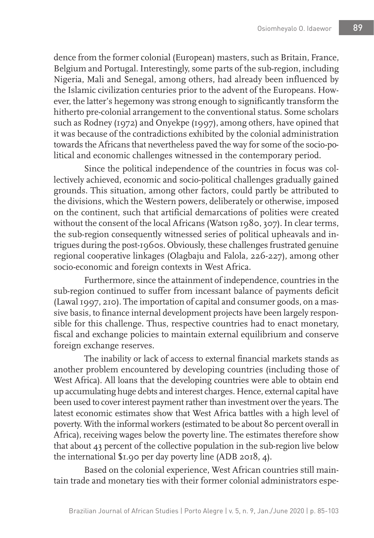dence from the former colonial (European) masters, such as Britain, France, Belgium and Portugal. Interestingly, some parts of the sub-region, including Nigeria, Mali and Senegal, among others, had already been influenced by the Islamic civilization centuries prior to the advent of the Europeans. However, the latter's hegemony was strong enough to significantly transform the hitherto pre-colonial arrangement to the conventional status. Some scholars such as Rodney (1972) and Onyekpe (1997), among others, have opined that it was because of the contradictions exhibited by the colonial administration towards the Africans that nevertheless paved the way for some of the socio-political and economic challenges witnessed in the contemporary period.

Since the political independence of the countries in focus was collectively achieved, economic and socio-political challenges gradually gained grounds. This situation, among other factors, could partly be attributed to the divisions, which the Western powers, deliberately or otherwise, imposed on the continent, such that artificial demarcations of polities were created without the consent of the local Africans (Watson 1980, 307). In clear terms, the sub-region consequently witnessed series of political upheavals and intrigues during the post-1960s. Obviously, these challenges frustrated genuine regional cooperative linkages (Olagbaju and Falola, 226-227), among other socio-economic and foreign contexts in West Africa.

Furthermore, since the attainment of independence, countries in the sub-region continued to suffer from incessant balance of payments deficit (Lawal 1997, 210). The importation of capital and consumer goods, on a massive basis, to finance internal development projects have been largely responsible for this challenge. Thus, respective countries had to enact monetary, fiscal and exchange policies to maintain external equilibrium and conserve foreign exchange reserves.

The inability or lack of access to external financial markets stands as another problem encountered by developing countries (including those of West Africa). All loans that the developing countries were able to obtain end up accumulating huge debts and interest charges. Hence, external capital have been used to cover interest payment rather than investment over the years. The latest economic estimates show that West Africa battles with a high level of poverty. With the informal workers (estimated to be about 80 percent overall in Africa), receiving wages below the poverty line. The estimates therefore show that about 43 percent of the collective population in the sub-region live below the international \$1.90 per day poverty line (ADB 2018, 4).

Based on the colonial experience, West African countries still maintain trade and monetary ties with their former colonial administrators espe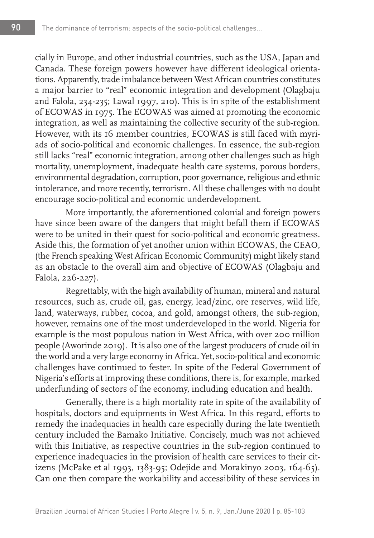cially in Europe, and other industrial countries, such as the USA, Japan and Canada. These foreign powers however have different ideological orientations. Apparently, trade imbalance between West African countries constitutes a major barrier to "real" economic integration and development (Olagbaju and Falola, 234-235; Lawal 1997, 210). This is in spite of the establishment of ECOWAS in 1975. The ECOWAS was aimed at promoting the economic integration, as well as maintaining the collective security of the sub-region. However, with its 16 member countries, ECOWAS is still faced with myriads of socio-political and economic challenges. In essence, the sub-region still lacks "real" economic integration, among other challenges such as high mortality, unemployment, inadequate health care systems, porous borders, environmental degradation, corruption, poor governance, religious and ethnic intolerance, and more recently, terrorism. All these challenges with no doubt encourage socio-political and economic underdevelopment.

More importantly, the aforementioned colonial and foreign powers have since been aware of the dangers that might befall them if ECOWAS were to be united in their quest for socio-political and economic greatness. Aside this, the formation of yet another union within ECOWAS, the CEAO, (the French speaking West African Economic Community) might likely stand as an obstacle to the overall aim and objective of ECOWAS (Olagbaju and Falola, 226-227).

Regrettably, with the high availability of human, mineral and natural resources, such as, crude oil, gas, energy, lead/zinc, ore reserves, wild life, land, waterways, rubber, cocoa, and gold, amongst others, the sub-region, however, remains one of the most underdeveloped in the world. Nigeria for example is the most populous nation in West Africa, with over 200 million people (Aworinde 2019). It is also one of the largest producers of crude oil in the world and a very large economy in Africa. Yet, socio-political and economic challenges have continued to fester. In spite of the Federal Government of Nigeria's efforts at improving these conditions, there is, for example, marked underfunding of sectors of the economy, including education and health.

Generally, there is a high mortality rate in spite of the availability of hospitals, doctors and equipments in West Africa. In this regard, efforts to remedy the inadequacies in health care especially during the late twentieth century included the Bamako Initiative. Concisely, much was not achieved with this Initiative, as respective countries in the sub-region continued to experience inadequacies in the provision of health care services to their citizens (McPake et al 1993, 1383-95; Odejide and Morakinyo 2003, 164-65). Can one then compare the workability and accessibility of these services in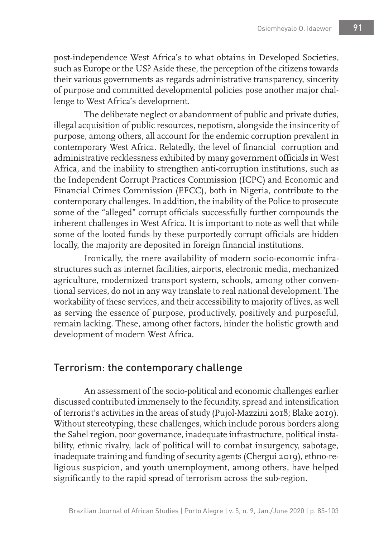post-independence West Africa's to what obtains in Developed Societies, such as Europe or the US? Aside these, the perception of the citizens towards their various governments as regards administrative transparency, sincerity of purpose and committed developmental policies pose another major challenge to West Africa's development.

The deliberate neglect or abandonment of public and private duties, illegal acquisition of public resources, nepotism, alongside the insincerity of purpose, among others, all account for the endemic corruption prevalent in contemporary West Africa. Relatedly, the level of financial corruption and administrative recklessness exhibited by many government officials in West Africa, and the inability to strengthen anti-corruption institutions, such as the Independent Corrupt Practices Commission (ICPC) and Economic and Financial Crimes Commission (EFCC), both in Nigeria, contribute to the contemporary challenges. In addition, the inability of the Police to prosecute some of the "alleged" corrupt officials successfully further compounds the inherent challenges in West Africa. It is important to note as well that while some of the looted funds by these purportedly corrupt officials are hidden locally, the majority are deposited in foreign financial institutions.

Ironically, the mere availability of modern socio-economic infrastructures such as internet facilities, airports, electronic media, mechanized agriculture, modernized transport system, schools, among other conventional services, do not in any way translate to real national development. The workability of these services, and their accessibility to majority of lives, as well as serving the essence of purpose, productively, positively and purposeful, remain lacking. These, among other factors, hinder the holistic growth and development of modern West Africa.

## Terrorism: the contemporary challenge

An assessment of the socio-political and economic challenges earlier discussed contributed immensely to the fecundity, spread and intensification of terrorist's activities in the areas of study (Pujol-Mazzini 2018; Blake 2019). Without stereotyping, these challenges, which include porous borders along the Sahel region, poor governance, inadequate infrastructure, political instability, ethnic rivalry, lack of political will to combat insurgency, sabotage, inadequate training and funding of security agents (Chergui 2019), ethno-religious suspicion, and youth unemployment, among others, have helped significantly to the rapid spread of terrorism across the sub-region.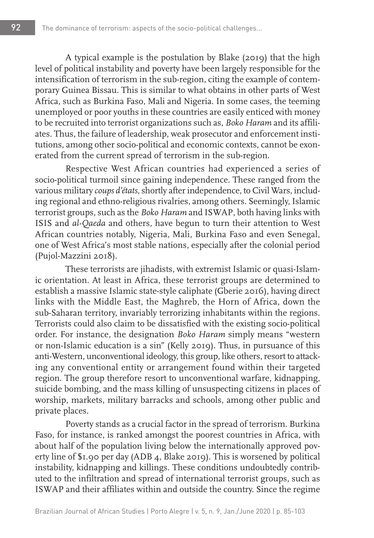A typical example is the postulation by Blake (2019) that the high level of political instability and poverty have been largely responsible for the intensification of terrorism in the sub-region, citing the example of contemporary Guinea Bissau. This is similar to what obtains in other parts of West Africa, such as Burkina Faso, Mali and Nigeria. In some cases, the teeming unemployed or poor youths in these countries are easily enticed with money to be recruited into terrorist organizations such as, *Boko Haram* and its affiliates. Thus, the failure of leadership, weak prosecutor and enforcement institutions, among other socio-political and economic contexts, cannot be exonerated from the current spread of terrorism in the sub-region.

Respective West African countries had experienced a series of socio-political turmoil since gaining independence. These ranged from the various military *coups d'états*, shortly after independence, to Civil Wars, including regional and ethno-religious rivalries, among others. Seemingly, Islamic terrorist groups, such as the *Boko Haram* and ISWAP, both having links with ISIS and *al-Qaeda* and others, have begun to turn their attention to West African countries notably, Nigeria, Mali, Burkina Faso and even Senegal, one of West Africa's most stable nations, especially after the colonial period (Pujol-Mazzini 2018).

These terrorists are jihadists, with extremist Islamic or quasi-Islamic orientation. At least in Africa, these terrorist groups are determined to establish a massive Islamic state-style caliphate (Gberie 2016), having direct links with the Middle East, the Maghreb, the Horn of Africa, down the sub-Saharan territory, invariably terrorizing inhabitants within the regions. Terrorists could also claim to be dissatisfied with the existing socio-political order. For instance, the designation *Boko Haram* simply means "western or non-Islamic education is a sin" (Kelly 2019). Thus, in pursuance of this anti-Western, unconventional ideology, this group, like others, resort to attacking any conventional entity or arrangement found within their targeted region. The group therefore resort to unconventional warfare, kidnapping, suicide bombing, and the mass killing of unsuspecting citizens in places of worship, markets, military barracks and schools, among other public and private places.

Poverty stands as a crucial factor in the spread of terrorism. Burkina Faso, for instance, is ranked amongst the poorest countries in Africa, with about half of the population living below the internationally approved poverty line of \$1.90 per day (ADB 4, Blake 2019). This is worsened by political instability, kidnapping and killings. These conditions undoubtedly contributed to the infiltration and spread of international terrorist groups, such as ISWAP and their affiliates within and outside the country. Since the regime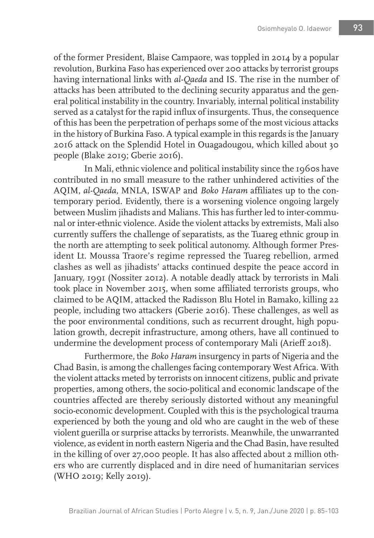of the former President, Blaise Campaore, was toppled in 2014 by a popular revolution, Burkina Faso has experienced over 200 attacks by terrorist groups having international links with *al-Qaeda* and IS. The rise in the number of attacks has been attributed to the declining security apparatus and the general political instability in the country. Invariably, internal political instability served as a catalyst for the rapid influx of insurgents. Thus, the consequence of this has been the perpetration of perhaps some of the most vicious attacks in the history of Burkina Faso. A typical example in this regards is the January 2016 attack on the Splendid Hotel in Ouagadougou, which killed about 30 people (Blake 2019; Gberie 2016).

In Mali, ethnic violence and political instability since the 1960s have contributed in no small measure to the rather unhindered activities of the AQIM, *al-Qaeda*, MNLA, ISWAP and *Boko Haram* affiliates up to the contemporary period. Evidently, there is a worsening violence ongoing largely between Muslim jihadists and Malians. This has further led to inter-communal or inter-ethnic violence. Aside the violent attacks by extremists, Mali also currently suffers the challenge of separatists, as the Tuareg ethnic group in the north are attempting to seek political autonomy. Although former President Lt. Moussa Traore's regime repressed the Tuareg rebellion, armed clashes as well as jihadists' attacks continued despite the peace accord in January, 1991 (Nossiter 2012). A notable deadly attack by terrorists in Mali took place in November 2015, when some affiliated terrorists groups, who claimed to be AQIM, attacked the Radisson Blu Hotel in Bamako, killing 22 people, including two attackers (Gberie 2016). These challenges, as well as the poor environmental conditions, such as recurrent drought, high population growth, decrepit infrastructure, among others, have all continued to undermine the development process of contemporary Mali (Arieff 2018).

Furthermore, the *Boko Haram* insurgency in parts of Nigeria and the Chad Basin, is among the challenges facing contemporary West Africa. With the violent attacks meted by terrorists on innocent citizens, public and private properties, among others, the socio-political and economic landscape of the countries affected are thereby seriously distorted without any meaningful socio-economic development. Coupled with this is the psychological trauma experienced by both the young and old who are caught in the web of these violent guerilla or surprise attacks by terrorists. Meanwhile, the unwarranted violence, as evident in north eastern Nigeria and the Chad Basin, have resulted in the killing of over 27,000 people. It has also affected about 2 million others who are currently displaced and in dire need of humanitarian services (WHO 2019; Kelly 2019).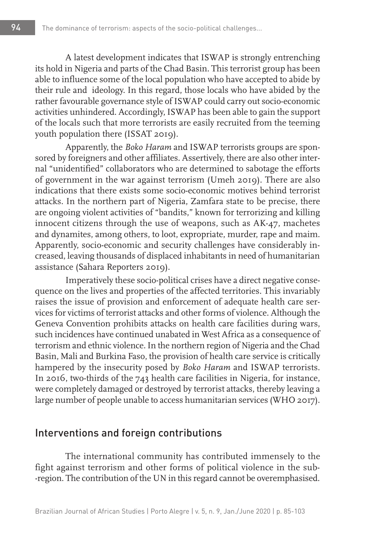A latest development indicates that ISWAP is strongly entrenching its hold in Nigeria and parts of the Chad Basin. This terrorist group has been able to influence some of the local population who have accepted to abide by their rule and ideology. In this regard, those locals who have abided by the rather favourable governance style of ISWAP could carry out socio-economic activities unhindered. Accordingly, ISWAP has been able to gain the support of the locals such that more terrorists are easily recruited from the teeming youth population there (ISSAT 2019).

Apparently, the *Boko Haram* and ISWAP terrorists groups are sponsored by foreigners and other affiliates. Assertively, there are also other internal "unidentified" collaborators who are determined to sabotage the efforts of government in the war against terrorism (Umeh 2019). There are also indications that there exists some socio-economic motives behind terrorist attacks. In the northern part of Nigeria, Zamfara state to be precise, there are ongoing violent activities of "bandits," known for terrorizing and killing innocent citizens through the use of weapons, such as AK-47, machetes and dynamites, among others, to loot, expropriate, murder, rape and maim. Apparently, socio-economic and security challenges have considerably increased, leaving thousands of displaced inhabitants in need of humanitarian assistance (Sahara Reporters 2019).

Imperatively these socio-political crises have a direct negative consequence on the lives and properties of the affected territories. This invariably raises the issue of provision and enforcement of adequate health care services for victims of terrorist attacks and other forms of violence. Although the Geneva Convention prohibits attacks on health care facilities during wars, such incidences have continued unabated in West Africa as a consequence of terrorism and ethnic violence. In the northern region of Nigeria and the Chad Basin, Mali and Burkina Faso, the provision of health care service is critically hampered by the insecurity posed by *Boko Haram* and ISWAP terrorists. In 2016, two-thirds of the 743 health care facilities in Nigeria, for instance, were completely damaged or destroyed by terrorist attacks, thereby leaving a large number of people unable to access humanitarian services (WHO 2017).

### Interventions and foreign contributions

The international community has contributed immensely to the fight against terrorism and other forms of political violence in the sub- -region. The contribution of the UN in this regard cannot be overemphasised.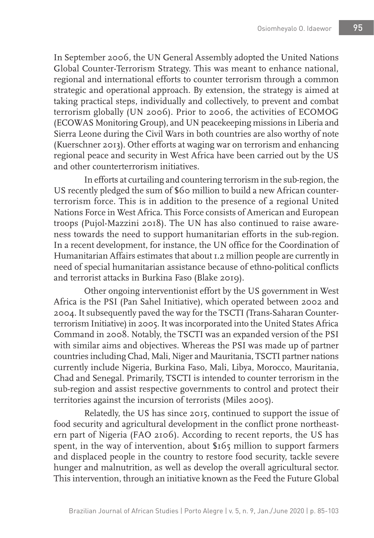In September 2006, the UN General Assembly adopted the United Nations Global Counter-Terrorism Strategy. This was meant to enhance national, regional and international efforts to counter terrorism through a common strategic and operational approach. By extension, the strategy is aimed at taking practical steps, individually and collectively, to prevent and combat terrorism globally (UN 2006). Prior to 2006, the activities of ECOMOG (ECOWAS Monitoring Group), and UN peacekeeping missions in Liberia and Sierra Leone during the Civil Wars in both countries are also worthy of note (Kuerschner 2013). Other efforts at waging war on terrorism and enhancing regional peace and security in West Africa have been carried out by the US and other counterterrorism initiatives.

In efforts at curtailing and countering terrorism in the sub-region, the US recently pledged the sum of \$60 million to build a new African counterterrorism force. This is in addition to the presence of a regional United Nations Force in West Africa. This Force consists of American and European troops (Pujol-Mazzini 2018). The UN has also continued to raise awareness towards the need to support humanitarian efforts in the sub-region. In a recent development, for instance, the UN office for the Coordination of Humanitarian Affairs estimates that about 1.2 million people are currently in need of special humanitarian assistance because of ethno-political conflicts and terrorist attacks in Burkina Faso (Blake 2019).

Other ongoing interventionist effort by the US government in West Africa is the PSI (Pan Sahel Initiative), which operated between 2002 and 2004. It subsequently paved the way for the TSCTI (Trans-Saharan Counterterrorism Initiative) in 2005. It was incorporated into the United States Africa Command in 2008. Notably, the TSCTI was an expanded version of the PSI with similar aims and objectives. Whereas the PSI was made up of partner countries including Chad, Mali, Niger and Mauritania, TSCTI partner nations currently include Nigeria, Burkina Faso, Mali, Libya, Morocco, Mauritania, Chad and Senegal. Primarily, TSCTI is intended to counter terrorism in the sub-region and assist respective governments to control and protect their territories against the incursion of terrorists (Miles 2005).

Relatedly, the US has since 2015, continued to support the issue of food security and agricultural development in the conflict prone northeastern part of Nigeria (FAO 2106). According to recent reports, the US has spent, in the way of intervention, about \$165 million to support farmers and displaced people in the country to restore food security, tackle severe hunger and malnutrition, as well as develop the overall agricultural sector. This intervention, through an initiative known as the Feed the Future Global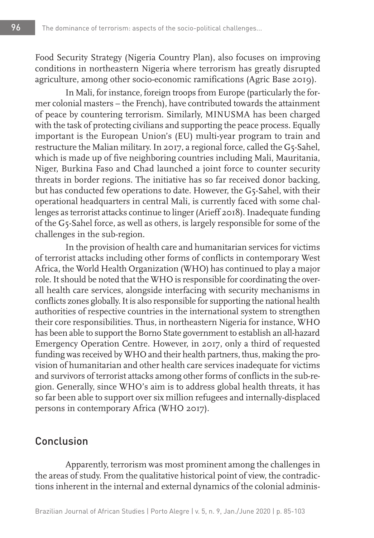Food Security Strategy (Nigeria Country Plan), also focuses on improving conditions in northeastern Nigeria where terrorism has greatly disrupted agriculture, among other socio-economic ramifications (Agric Base 2019).

In Mali, for instance, foreign troops from Europe (particularly the former colonial masters – the French), have contributed towards the attainment of peace by countering terrorism. Similarly, MINUSMA has been charged with the task of protecting civilians and supporting the peace process. Equally important is the European Union's (EU) multi-year program to train and restructure the Malian military. In 2017, a regional force, called the G5-Sahel, which is made up of five neighboring countries including Mali, Mauritania, Niger, Burkina Faso and Chad launched a joint force to counter security threats in border regions. The initiative has so far received donor backing, but has conducted few operations to date. However, the G5-Sahel, with their operational headquarters in central Mali, is currently faced with some challenges as terrorist attacks continue to linger (Arieff 2018). Inadequate funding of the G5-Sahel force, as well as others, is largely responsible for some of the challenges in the sub-region.

In the provision of health care and humanitarian services for victims of terrorist attacks including other forms of conflicts in contemporary West Africa, the World Health Organization (WHO) has continued to play a major role. It should be noted that the WHO is responsible for coordinating the overall health care services, alongside interfacing with security mechanisms in conflicts zones globally. It is also responsible for supporting the national health authorities of respective countries in the international system to strengthen their core responsibilities. Thus, in northeastern Nigeria for instance, WHO has been able to support the Borno State government to establish an all-hazard Emergency Operation Centre. However, in 2017, only a third of requested funding was received by WHO and their health partners, thus, making the provision of humanitarian and other health care services inadequate for victims and survivors of terrorist attacks among other forms of conflicts in the sub-region. Generally, since WHO's aim is to address global health threats, it has so far been able to support over six million refugees and internally-displaced persons in contemporary Africa (WHO 2017).

### Conclusion

Apparently, terrorism was most prominent among the challenges in the areas of study. From the qualitative historical point of view, the contradictions inherent in the internal and external dynamics of the colonial adminis-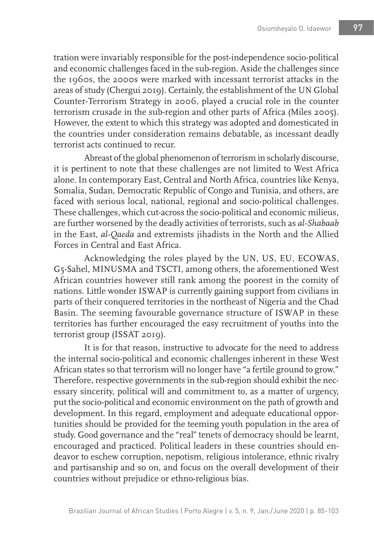tration were invariably responsible for the post-independence socio-political and economic challenges faced in the sub-region. Aside the challenges since the 1960s, the 2000s were marked with incessant terrorist attacks in the areas of study (Chergui 2019). Certainly, the establishment of the UN Global Counter-Terrorism Strategy in 2006, played a crucial role in the counter terrorism crusade in the sub-region and other parts of Africa (Miles 2005). However, the extent to which this strategy was adopted and domesticated in the countries under consideration remains debatable, as incessant deadly terrorist acts continued to recur.

Abreast of the global phenomenon of terrorism in scholarly discourse, it is pertinent to note that these challenges are not limited to West Africa alone. In contemporary East, Central and North Africa, countries like Kenya, Somalia, Sudan, Democratic Republic of Congo and Tunisia, and others, are faced with serious local, national, regional and socio-political challenges. These challenges, which cut-across the socio-political and economic milieus, are further worsened by the deadly activities of terrorists, such as *al-Shabaab* in the East, *al-Qaeda* and extremists jihadists in the North and the Allied Forces in Central and East Africa.

Acknowledging the roles played by the UN, US, EU, ECOWAS, G5-Sahel, MINUSMA and TSCTI, among others, the aforementioned West African countries however still rank among the poorest in the comity of nations. Little wonder ISWAP is currently gaining support from civilians in parts of their conquered territories in the northeast of Nigeria and the Chad Basin. The seeming favourable governance structure of ISWAP in these territories has further encouraged the easy recruitment of youths into the terrorist group (ISSAT 2019).

It is for that reason, instructive to advocate for the need to address the internal socio-political and economic challenges inherent in these West African states so that terrorism will no longer have "a fertile ground to grow." Therefore, respective governments in the sub-region should exhibit the necessary sincerity, political will and commitment to, as a matter of urgency, put the socio-political and economic environment on the path of growth and development. In this regard, employment and adequate educational opportunities should be provided for the teeming youth population in the area of study. Good governance and the "real" tenets of democracy should be learnt, encouraged and practiced. Political leaders in these countries should endeavor to eschew corruption, nepotism, religious intolerance, ethnic rivalry and partisanship and so on, and focus on the overall development of their countries without prejudice or ethno-religious bias.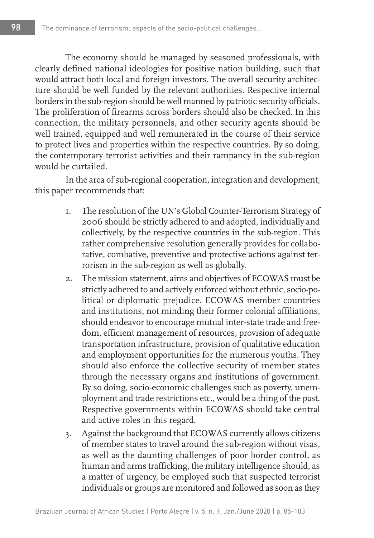The economy should be managed by seasoned professionals, with clearly defined national ideologies for positive nation building, such that would attract both local and foreign investors. The overall security architecture should be well funded by the relevant authorities. Respective internal borders in the sub-region should be well manned by patriotic security officials. The proliferation of firearms across borders should also be checked. In this connection, the military personnels, and other security agents should be well trained, equipped and well remunerated in the course of their service to protect lives and properties within the respective countries. By so doing, the contemporary terrorist activities and their rampancy in the sub-region would be curtailed.

In the area of sub-regional cooperation, integration and development, this paper recommends that:

- 1. The resolution of the UN's Global Counter-Terrorism Strategy of 2006 should be strictly adhered to and adopted, individually and collectively, by the respective countries in the sub-region. This rather comprehensive resolution generally provides for collaborative, combative, preventive and protective actions against terrorism in the sub-region as well as globally.
- 2. The mission statement, aims and objectives of ECOWAS must be strictly adhered to and actively enforced without ethnic, socio-political or diplomatic prejudice. ECOWAS member countries and institutions, not minding their former colonial affiliations, should endeavor to encourage mutual inter-state trade and freedom, efficient management of resources, provision of adequate transportation infrastructure, provision of qualitative education and employment opportunities for the numerous youths. They should also enforce the collective security of member states through the necessary organs and institutions of government. By so doing, socio-economic challenges such as poverty, unemployment and trade restrictions etc., would be a thing of the past. Respective governments within ECOWAS should take central and active roles in this regard.
- 3. Against the background that ECOWAS currently allows citizens of member states to travel around the sub-region without visas, as well as the daunting challenges of poor border control, as human and arms trafficking, the military intelligence should, as a matter of urgency, be employed such that suspected terrorist individuals or groups are monitored and followed as soon as they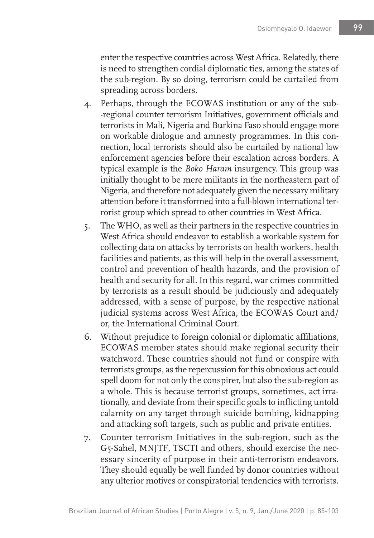enter the respective countries across West Africa. Relatedly, there is need to strengthen cordial diplomatic ties, among the states of the sub-region. By so doing, terrorism could be curtailed from spreading across borders.

- 4. Perhaps, through the ECOWAS institution or any of the sub- -regional counter terrorism Initiatives, government officials and terrorists in Mali, Nigeria and Burkina Faso should engage more on workable dialogue and amnesty programmes. In this connection, local terrorists should also be curtailed by national law enforcement agencies before their escalation across borders. A typical example is the *Boko Haram* insurgency. This group was initially thought to be mere militants in the northeastern part of Nigeria, and therefore not adequately given the necessary military attention before it transformed into a full-blown international terrorist group which spread to other countries in West Africa.
- 5. The WHO, as well as their partners in the respective countries in West Africa should endeavor to establish a workable system for collecting data on attacks by terrorists on health workers, health facilities and patients, as this will help in the overall assessment, control and prevention of health hazards, and the provision of health and security for all. In this regard, war crimes committed by terrorists as a result should be judiciously and adequately addressed, with a sense of purpose, by the respective national judicial systems across West Africa, the ECOWAS Court and/ or, the International Criminal Court.
- 6. Without prejudice to foreign colonial or diplomatic affiliations, ECOWAS member states should make regional security their watchword. These countries should not fund or conspire with terrorists groups, as the repercussion for this obnoxious act could spell doom for not only the conspirer, but also the sub-region as a whole. This is because terrorist groups, sometimes, act irrationally, and deviate from their specific goals to inflicting untold calamity on any target through suicide bombing, kidnapping and attacking soft targets, such as public and private entities.
- 7. Counter terrorism Initiatives in the sub-region, such as the G5-Sahel, MNJTF, TSCTI and others, should exercise the necessary sincerity of purpose in their anti-terrorism endeavors. They should equally be well funded by donor countries without any ulterior motives or conspiratorial tendencies with terrorists.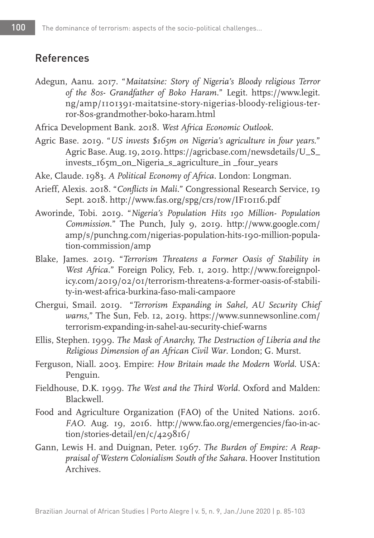## References

- Adegun, Aanu. 2017. "*Maitatsine: Story of Nigeria's Bloody religious Terror of the 80s- Grandfather of Boko Haram.*" Legit. https://www.legit. ng/amp/1101391-maitatsine-story-nigerias-bloody-religious-terror-80s-grandmother-boko-haram.html
- Africa Development Bank. 2018. *West Africa Economic Outlook*.
- Agric Base. 2019. "*US invests \$165m on Nigeria's agriculture in four years*." Agric Base. Aug. 19, 2019. https://agricbase.com/newsdetails/U\_S\_ invests\_165m\_on\_Nigeria\_s\_agriculture\_in \_four\_years
- Ake, Claude. 1983. *A Political Economy of Africa.* London: Longman.
- Arieff, Alexis. 2018. "*Conflicts in Mali.*" Congressional Research Service, 19 Sept. 2018. http://www.fas.org/spg/crs/row/IF10116.pdf
- Aworinde, Tobi. 2019. "*Nigeria's Population Hits 190 Million- Population Commission.*" The Punch, July 9, 2019. http://www.google.com/ amp/s/punchng.com/nigerias-population-hits-190-million-population-commission/amp
- Blake, James. 2019. "*Terrorism Threatens a Former Oasis of Stability in West Africa*." Foreign Policy, Feb. 1, 2019. http://www.foreignpolicy.com/2019/02/01/terrorism-threatens-a-former-oasis-of-stability-in-west-africa-burkina-faso-mali-campaore
- Chergui, Smail. 2019. "*Terrorism Expanding in Sahel, AU Security Chief warns*," The Sun, Feb. 12, 2019. https://www.sunnewsonline.com/ terrorism-expanding-in-sahel-au-security-chief-warns
- Ellis, Stephen. 1999. *The Mask of Anarchy, The Destruction of Liberia and the Religious Dimension of an African Civil War*. London; G. Murst.
- Ferguson, Niall. 2003. Empire: *How Britain made the Modern World*. USA: Penguin.
- Fieldhouse, D.K. 1999. *The West and the Third World.* Oxford and Malden: Blackwell.
- Food and Agriculture Organization (FAO) of the United Nations. 2016. *FAO.* Aug. 19, 2016. http://www.fao.org/emergencies/fao-in-action/stories-detail/en/c/429816/
- Gann, Lewis H. and Duignan, Peter. 1967. *The Burden of Empire: A Reappraisal of Western Colonialism South of the Sahara.* Hoover Institution Archives.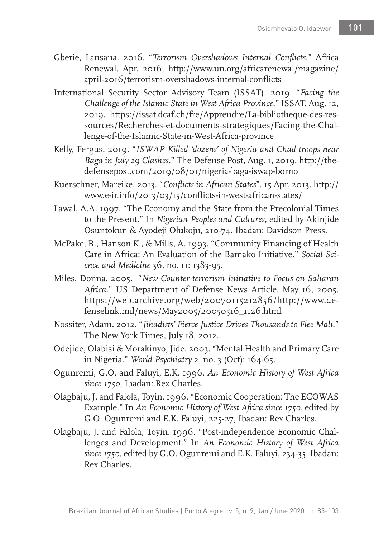- Gberie, Lansana. 2016. "*Terrorism Overshadows Internal Conflicts.*" Africa Renewal, Apr. 2016, http://www.un.org/africarenewal/magazine/ april-2016/terrorism-overshadows-internal-conflicts
- International Security Sector Advisory Team (ISSAT). 2019. "*Facing the Challenge of the Islamic State in West Africa Province*." ISSAT. Aug. 12, 2019. https://issat.dcaf.ch/fre/Apprendre/La-bibliotheque-des-ressources/Recherches-et-documents-strategiques/Facing-the-Challenge-of-the-Islamic-State-in-West-Africa-province
- Kelly, Fergus. 2019. "*ISWAP Killed 'dozens' of Nigeria and Chad troops near Baga in July 29 Clashes.*" The Defense Post, Aug. 1, 2019. http://thedefensepost.com/2019/08/01/nigeria-baga-iswap-borno
- Kuerschner, Mareike. 2013. "*Conflicts in African States*". 15 Apr. 2013. http:// www.e-ir.info/2013/03/15/conflicts-in-west-african-states/
- Lawal, A.A. 1997. "The Economy and the State from the Precolonial Times to the Present." In *Nigerian Peoples and Cultures*, edited by Akinjide Osuntokun & Ayodeji Olukoju, 210-74. Ibadan: Davidson Press.
- McPake, B., Hanson K., & Mills, A. 1993. "Community Financing of Health Care in Africa: An Evaluation of the Bamako Initiative." *Social Science and Medicine* 36, no. 11: 1383-95.
- Miles, Donna. 2005. "*New Counter terrorism Initiative to Focus on Saharan Africa.*" US Department of Defense News Article, May 16, 2005. https://web.archive.org/web/20070115212856/http://www.defenselink.mil/news/May2005/20050516\_1126.html
- Nossiter, Adam. 2012. "*Jihadists' Fierce Justice Drives Thousands to Flee Mali.*" The New York Times, July 18, 2012.
- Odejide, Olabisi & Morakinyo, Jide. 2003. "Mental Health and Primary Care in Nigeria." *World Psychiatry* 2, no. 3 (Oct): 164-65.
- Ogunremi, G.O. and Faluyi, E.K. 1996. *An Economic History of West Africa since 1750*, Ibadan: Rex Charles.
- Olagbaju, J. and Falola, Toyin. 1996. "Economic Cooperation: The ECOWAS Example." In *An Economic History of West Africa since 1750*, edited by G.O. Ogunremi and E.K. Faluyi, 225-27, Ibadan: Rex Charles.
- Olagbaju, J. and Falola, Toyin. 1996. "Post-independence Economic Challenges and Development." In *An Economic History of West Africa since 1750*, edited by G.O. Ogunremi and E.K. Faluyi, 234-35, Ibadan: Rex Charles.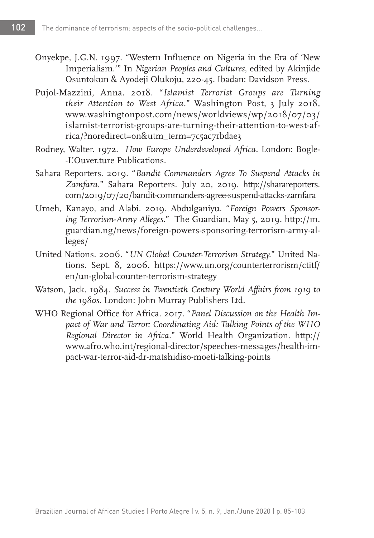- Onyekpe, J.G.N. 1997. "Western Influence on Nigeria in the Era of 'New Imperialism.'" In *Nigerian Peoples and Cultures*, edited by Akinjide Osuntokun & Ayodeji Olukoju, 220-45. Ibadan: Davidson Press.
- Pujol-Mazzini, Anna. 2018. "*Islamist Terrorist Groups are Turning their Attention to West Africa.*" Washington Post, 3 July 2018, www.washingtonpost.com/news/worldviews/wp/2018/07/03/ islamist-terrorist-groups-are-turning-their-attention-to-west-africa/?noredirect=on&utm\_term=7c5ac71bdae3
- Rodney, Walter. 1972. *How Europe Underdeveloped Africa.* London: Bogle- -L'Ouver.ture Publications.
- Sahara Reporters. 2019. "*Bandit Commanders Agree To Suspend Attacks in Zamfara*." Sahara Reporters. July 20, 2019. http://sharareporters. com/2019/07/20/bandit-commanders-agree-suspend-attacks-zamfara
- Umeh, Kanayo, and Alabi. 2019. Abdulganiyu. "*Foreign Powers Sponsoring Terrorism-Army Alleges.*" The Guardian, May 5, 2019. http://m. guardian.ng/news/foreign-powers-sponsoring-terrorism-army-alleges/
- United Nations. 2006. "*UN Global Counter-Terrorism Strategy.*" United Nations. Sept. 8, 2006. https://www.un.org/counterterrorism/ctitf/ en/un-global-counter-terrorism-strategy
- Watson, Jack. 1984. *Success in Twentieth Century World Affairs from 1919 to the 1980s.* London: John Murray Publishers Ltd.
- WHO Regional Office for Africa. 2017. "*Panel Discussion on the Health Impact of War and Terror: Coordinating Aid: Talking Points of the WHO Regional Director in Africa.*" World Health Organization. http:// www.afro.who.int/regional-director/speeches-messages/health-impact-war-terror-aid-dr-matshidiso-moeti-talking-points